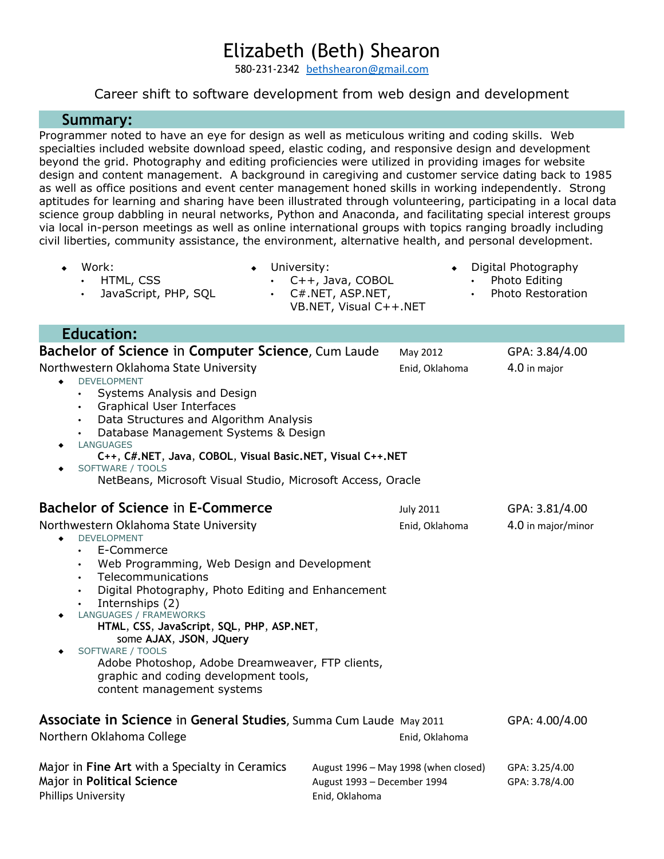## Elizabeth (Beth) Shearon

580-231-2342 [bethshearon@gmail.com](mailto:beth@bethshearon.com)

## Career shift to software development from web design and development

## **Summary:**

Programmer noted to have an eye for design as well as meticulous writing and coding skills. Web specialties included website download speed, elastic coding, and responsive design and development beyond the grid. Photography and editing proficiencies were utilized in providing images for website design and content management. A background in caregiving and customer service dating back to 1985 as well as office positions and event center management honed skills in working independently. Strong aptitudes for learning and sharing have been illustrated through volunteering, participating in a local data science group dabbling in neural networks, Python and Anaconda, and facilitating special interest groups via local in-person meetings as well as online international groups with topics ranging broadly including civil liberties, community assistance, the environment, alternative health, and personal development.

- Work: • HTML, CSS
- University:
- 
- JavaScript, PHP, SQL
- $C++$ , Java, COBOL • C#.NET, ASP.NET,
- Digital Photography
	- Photo Editing
		- Photo Restoration

|           | UTT, Java, CODOL       |
|-----------|------------------------|
| $\bullet$ | C#.NET, ASP.NET,       |
|           | VB.NET, Visual C++.NET |

 **Education:**

| <b>Bachelor of Science in Computer Science, Cum Laude</b>                                                                                                                                                                                                                                                                                                                                                                                                                                                                                            | May 2012                                                                              | GPA: 3.84/4.00                   |
|------------------------------------------------------------------------------------------------------------------------------------------------------------------------------------------------------------------------------------------------------------------------------------------------------------------------------------------------------------------------------------------------------------------------------------------------------------------------------------------------------------------------------------------------------|---------------------------------------------------------------------------------------|----------------------------------|
| Northwestern Oklahoma State University<br><b>DEVELOPMENT</b><br>Systems Analysis and Design<br>$\bullet$<br>Graphical User Interfaces<br>$\bullet$<br>Data Structures and Algorithm Analysis<br>$\bullet$<br>Database Management Systems & Design<br><b>LANGUAGES</b><br>۰<br>C++, C#.NET, Java, COBOL, Visual Basic.NET, Visual C++.NET<br>SOFTWARE / TOOLS<br>NetBeans, Microsoft Visual Studio, Microsoft Access, Oracle                                                                                                                          | Enid, Oklahoma                                                                        | 4.0 in major                     |
| Bachelor of Science in E-Commerce                                                                                                                                                                                                                                                                                                                                                                                                                                                                                                                    | <b>July 2011</b>                                                                      | GPA: 3.81/4.00                   |
| Northwestern Oklahoma State University<br><b>DEVELOPMENT</b><br>٠<br>E-Commerce<br>$\bullet$<br>Web Programming, Web Design and Development<br>$\bullet$<br>Telecommunications<br>$\bullet$<br>Digital Photography, Photo Editing and Enhancement<br>$\bullet$<br>Internships (2)<br>$\bullet$<br>LANGUAGES / FRAMEWORKS<br>٠<br>HTML, CSS, JavaScript, SQL, PHP, ASP.NET,<br>some AJAX, JSON, JQuery<br>SOFTWARE / TOOLS<br>Adobe Photoshop, Adobe Dreamweaver, FTP clients,<br>graphic and coding development tools,<br>content management systems | Enid, Oklahoma                                                                        | 4.0 in major/minor               |
| Associate in Science in General Studies, Summa Cum Laude May 2011<br>Northern Oklahoma College                                                                                                                                                                                                                                                                                                                                                                                                                                                       | GPA: 4.00/4.00<br>Enid, Oklahoma                                                      |                                  |
| Major in Fine Art with a Specialty in Ceramics<br>Major in Political Science<br><b>Phillips University</b>                                                                                                                                                                                                                                                                                                                                                                                                                                           | August 1996 - May 1998 (when closed)<br>August 1993 - December 1994<br>Enid, Oklahoma | GPA: 3.25/4.00<br>GPA: 3.78/4.00 |